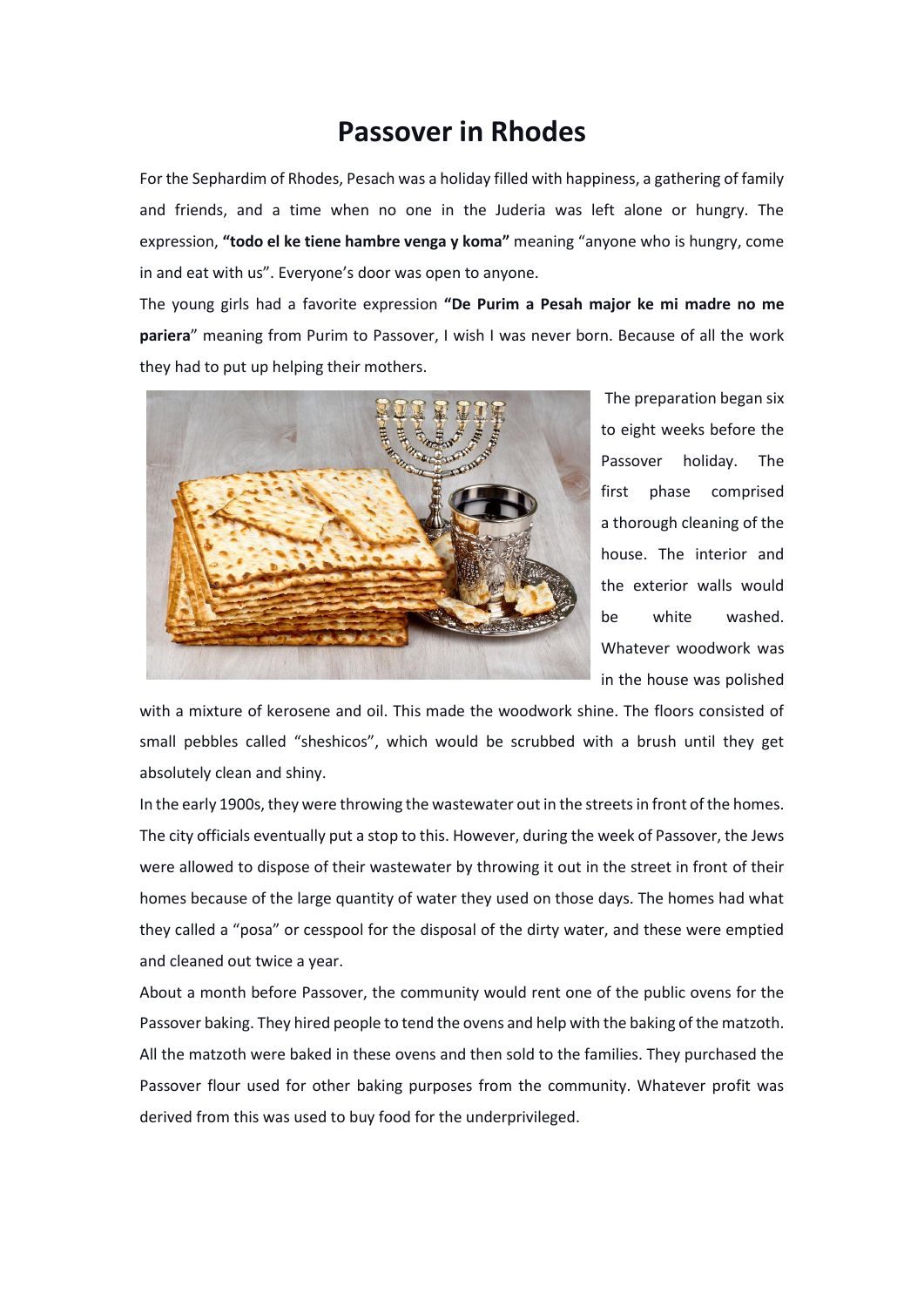## **Passover in Rhodes**

For the Sephardim of Rhodes, Pesach was a holiday filled with happiness, a gathering of family and friends, and a time when no one in the Juderia was left alone or hungry. The expression, **"todo el ke tiene hambre venga y koma"** meaning "anyone who is hungry, come in and eat with us". Everyone's door was open to anyone.

The young girls had a favorite expression **"De Purim a Pesah major ke mi madre no me pariera**" meaning from Purim to Passover, I wish I was never born. Because of all the work they had to put up helping their mothers.



The preparation began six to eight weeks before the Passover holiday. The first phase comprised a thorough cleaning of the house. The interior and the exterior walls would be white washed. Whatever woodwork was in the house was polished

with a mixture of kerosene and oil. This made the woodwork shine. The floors consisted of small pebbles called "sheshicos", which would be scrubbed with a brush until they get absolutely clean and shiny.

In the early 1900s, they were throwing the wastewater out in the streets in front of the homes. The city officials eventually put a stop to this. However, during the week of Passover, the Jews were allowed to dispose of their wastewater by throwing it out in the street in front of their homes because of the large quantity of water they used on those days. The homes had what they called a "posa" or cesspool for the disposal of the dirty water, and these were emptied and cleaned out twice a year.

About a month before Passover, the community would rent one of the public ovens for the Passover baking. They hired people to tend the ovens and help with the baking of the matzoth. All the matzoth were baked in these ovens and then sold to the families. They purchased the Passover flour used for other baking purposes from the community. Whatever profit was derived from this was used to buy food for the underprivileged.